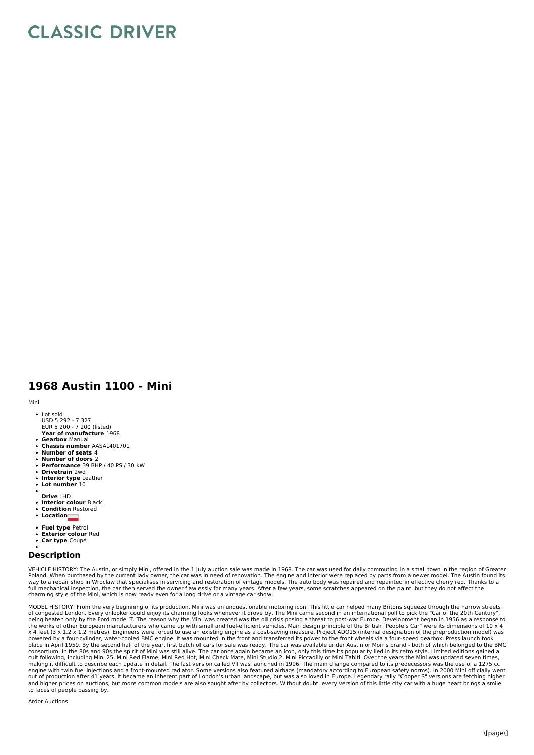## **CLASSIC DRIVER**

## **1968 Austin 1100 - Mini**

Mini

- Lot sold
- USD 5 292 7 327 EUR 5 200 7 200 (listed)
- **Year of manufacture** 1968 **Gearbox** Manual
- **Chassis number** AASAL401701
- **Number of seats** 4
- **Number of doors** 2
- **Performance** 39 BHP / 40 PS / 30 kW **Drivetrain** 2wd
- **Interior type** Leather
- **Lot number** 10
- 
- **Drive** LHD
- **Interior colour** Black **Condition** Restored
- **Location**
- 
- 
- **Fuel type** Petrol **Exterior colour** Red
- **Car type** Coupé

## **Description**

VEHICLE HISTORY: The Austin, or simply Mini, offered in the 1 July auction sale was made in 1968. The car was used for daily commuting in a small town in the region of Greater<br>Poland. When purchased by the current lady own charming style of the Mini, which is now ready even for a long drive or a vintage car show.

MODEL HISTORY: From the very beginning of its production, Mini was an unquestionable motoring icon. This little car helped many Britons squeeze through the narrow streets of congested London. Every onlooker could enjoy its charming looks whenever it drove by. The Mini came second in an international poll to pick the "Car of the 20th Century",<br>being beaten only by the Ford model T. The reaso the works of other European manufacturers who came up with small and fuel-efficient vehicles. Main design principle of the British "People's Car" were its dimensions of 10 x 4<br>x 4 feet (3 x 1.2 x 1.2 metres). Engineers wer powered by a four-cylinder, water-cooled BMC engine. It was mounted in the front and transferred its power to the front wheels via a four-speed gearbox. Press launch took<br>place in April 1959. By the second half of the year consortium. In the 80s and 90s the spirit of Mini was still alive. The car once again became an icon, only this time its popularity lied in its retro style. Limited editions gained a<br>cult following, including Mini 25, Mini making it difficult to describe each update in detail. The last version called VII was launched in 1996. The main change compared to its predecessors was the use of a 1275 cc engine with twin fuel injections and a front-mounted radiator. Some versions also featured airbags (mandatory according to European safety norms). In 2000 Mini officially went<br>out of production after 41 years. It became an to faces of people passing by.

Ardor Auctions